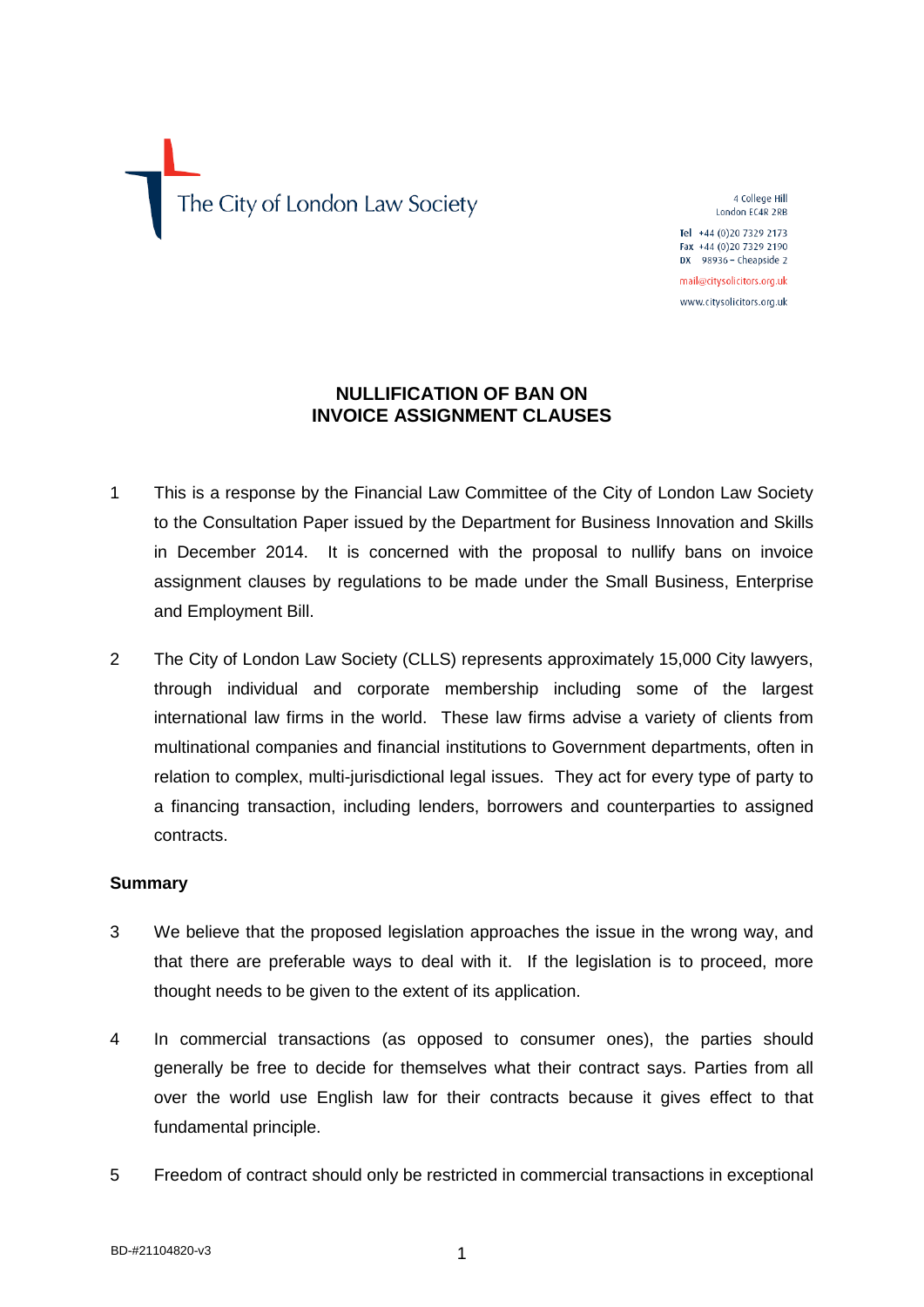The City of London Law Society

4 College Hill London FC4R 2RB

Tel +44 (0)20 7329 2173 Fax +44 (0)20 7329 2190 DX 98936 - Cheapside 2

mail@citysolicitors.org.uk www.citysolicitors.org.uk

# **NULLIFICATION OF BAN ON INVOICE ASSIGNMENT CLAUSES**

- 1 This is a response by the Financial Law Committee of the City of London Law Society to the Consultation Paper issued by the Department for Business Innovation and Skills in December 2014. It is concerned with the proposal to nullify bans on invoice assignment clauses by regulations to be made under the Small Business, Enterprise and Employment Bill.
- 2 The City of London Law Society (CLLS) represents approximately 15,000 City lawyers, through individual and corporate membership including some of the largest international law firms in the world. These law firms advise a variety of clients from multinational companies and financial institutions to Government departments, often in relation to complex, multi-jurisdictional legal issues. They act for every type of party to a financing transaction, including lenders, borrowers and counterparties to assigned contracts.

# **Summary**

- 3 We believe that the proposed legislation approaches the issue in the wrong way, and that there are preferable ways to deal with it. If the legislation is to proceed, more thought needs to be given to the extent of its application.
- 4 In commercial transactions (as opposed to consumer ones), the parties should generally be free to decide for themselves what their contract says. Parties from all over the world use English law for their contracts because it gives effect to that fundamental principle.
- 5 Freedom of contract should only be restricted in commercial transactions in exceptional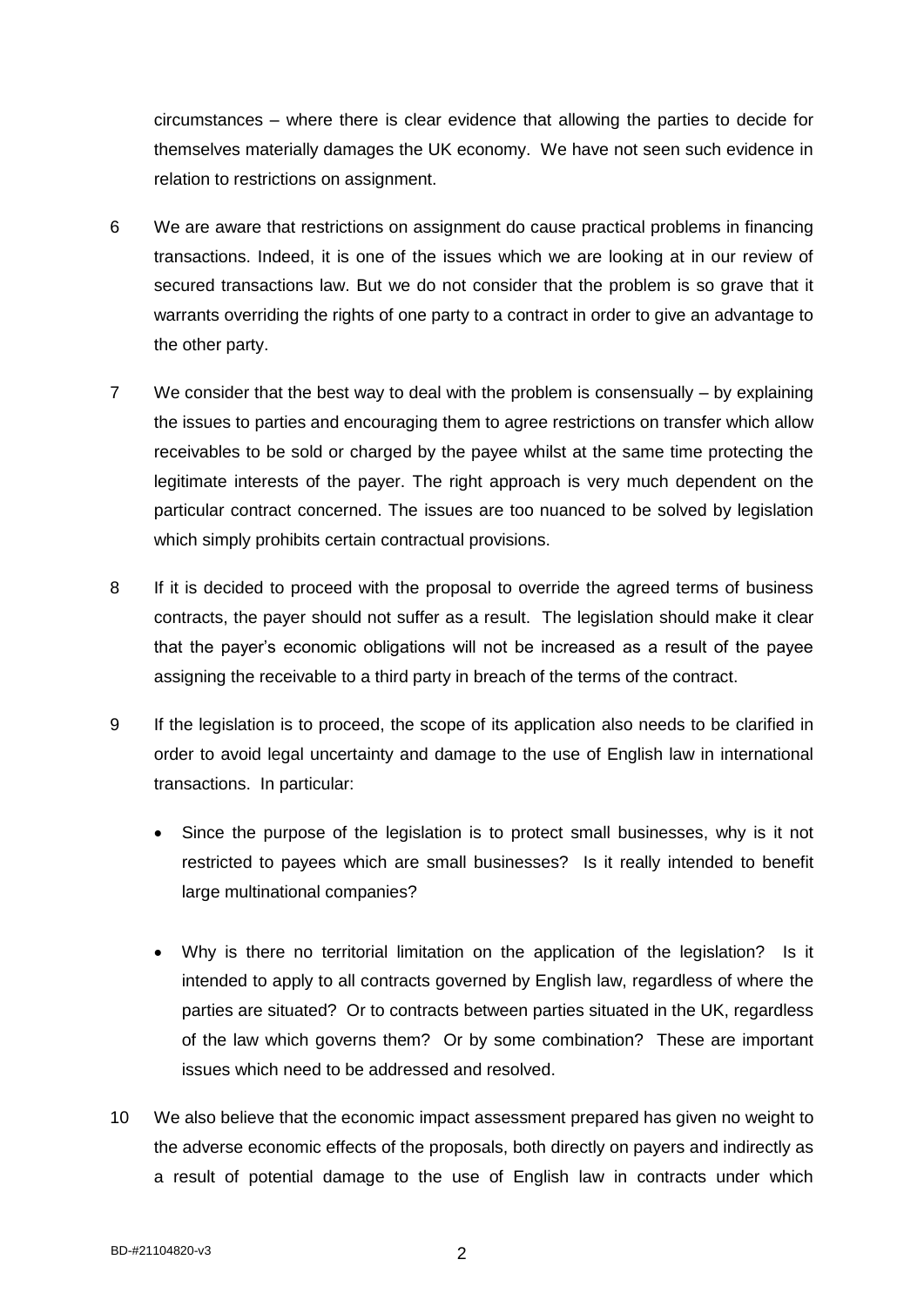circumstances – where there is clear evidence that allowing the parties to decide for themselves materially damages the UK economy. We have not seen such evidence in relation to restrictions on assignment.

- 6 We are aware that restrictions on assignment do cause practical problems in financing transactions. Indeed, it is one of the issues which we are looking at in our review of secured transactions law. But we do not consider that the problem is so grave that it warrants overriding the rights of one party to a contract in order to give an advantage to the other party.
- 7 We consider that the best way to deal with the problem is consensually by explaining the issues to parties and encouraging them to agree restrictions on transfer which allow receivables to be sold or charged by the payee whilst at the same time protecting the legitimate interests of the payer. The right approach is very much dependent on the particular contract concerned. The issues are too nuanced to be solved by legislation which simply prohibits certain contractual provisions.
- 8 If it is decided to proceed with the proposal to override the agreed terms of business contracts, the payer should not suffer as a result. The legislation should make it clear that the payer's economic obligations will not be increased as a result of the payee assigning the receivable to a third party in breach of the terms of the contract.
- 9 If the legislation is to proceed, the scope of its application also needs to be clarified in order to avoid legal uncertainty and damage to the use of English law in international transactions. In particular:
	- Since the purpose of the legislation is to protect small businesses, why is it not restricted to payees which are small businesses? Is it really intended to benefit large multinational companies?
	- Why is there no territorial limitation on the application of the legislation? Is it intended to apply to all contracts governed by English law, regardless of where the parties are situated? Or to contracts between parties situated in the UK, regardless of the law which governs them? Or by some combination? These are important issues which need to be addressed and resolved.
- 10 We also believe that the economic impact assessment prepared has given no weight to the adverse economic effects of the proposals, both directly on payers and indirectly as a result of potential damage to the use of English law in contracts under which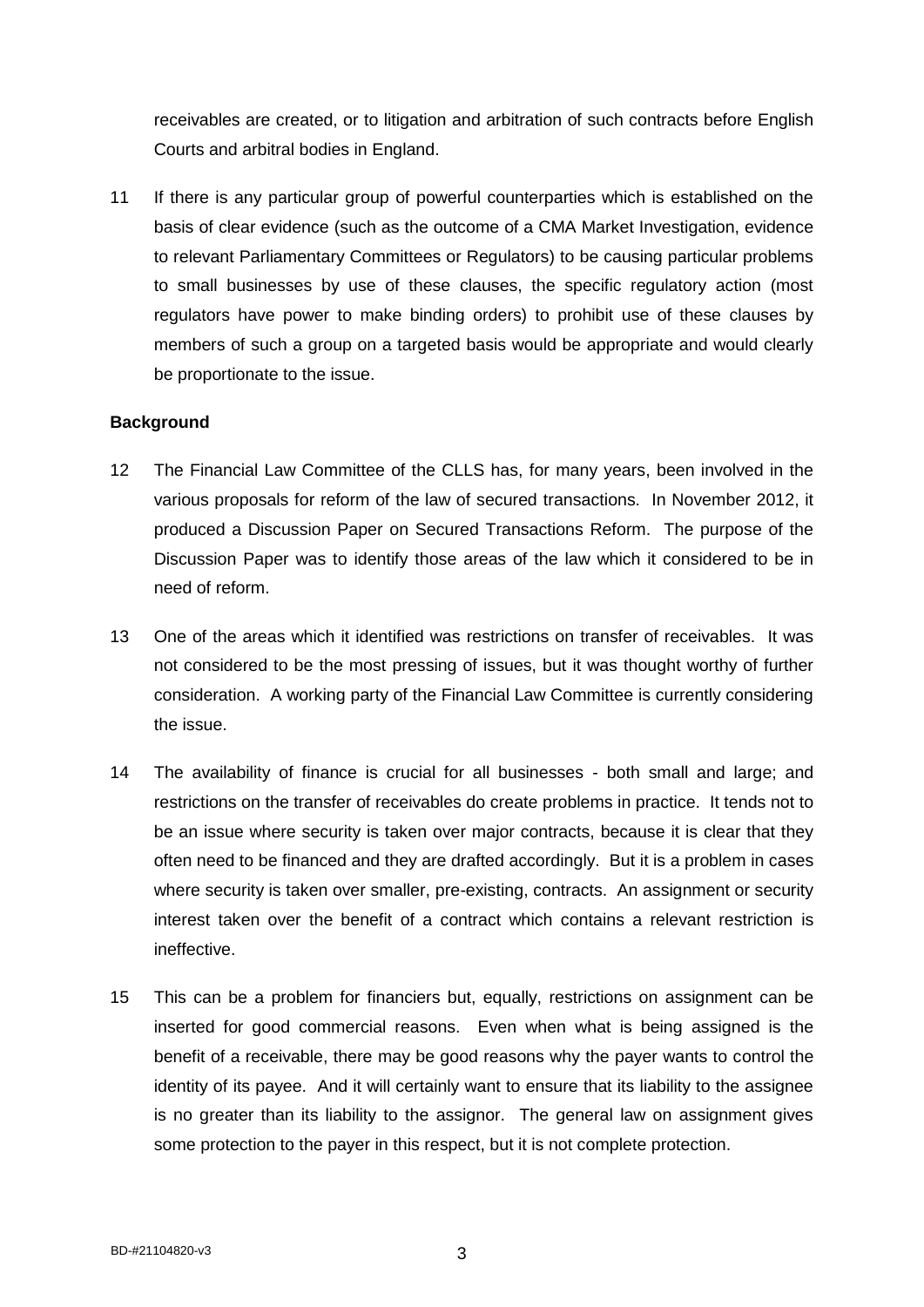receivables are created, or to litigation and arbitration of such contracts before English Courts and arbitral bodies in England.

11 If there is any particular group of powerful counterparties which is established on the basis of clear evidence (such as the outcome of a CMA Market Investigation, evidence to relevant Parliamentary Committees or Regulators) to be causing particular problems to small businesses by use of these clauses, the specific regulatory action (most regulators have power to make binding orders) to prohibit use of these clauses by members of such a group on a targeted basis would be appropriate and would clearly be proportionate to the issue.

# **Background**

- 12 The Financial Law Committee of the CLLS has, for many years, been involved in the various proposals for reform of the law of secured transactions. In November 2012, it produced a Discussion Paper on Secured Transactions Reform. The purpose of the Discussion Paper was to identify those areas of the law which it considered to be in need of reform.
- 13 One of the areas which it identified was restrictions on transfer of receivables. It was not considered to be the most pressing of issues, but it was thought worthy of further consideration. A working party of the Financial Law Committee is currently considering the issue.
- 14 The availability of finance is crucial for all businesses both small and large; and restrictions on the transfer of receivables do create problems in practice. It tends not to be an issue where security is taken over major contracts, because it is clear that they often need to be financed and they are drafted accordingly. But it is a problem in cases where security is taken over smaller, pre-existing, contracts. An assignment or security interest taken over the benefit of a contract which contains a relevant restriction is ineffective.
- 15 This can be a problem for financiers but, equally, restrictions on assignment can be inserted for good commercial reasons. Even when what is being assigned is the benefit of a receivable, there may be good reasons why the payer wants to control the identity of its payee. And it will certainly want to ensure that its liability to the assignee is no greater than its liability to the assignor. The general law on assignment gives some protection to the payer in this respect, but it is not complete protection.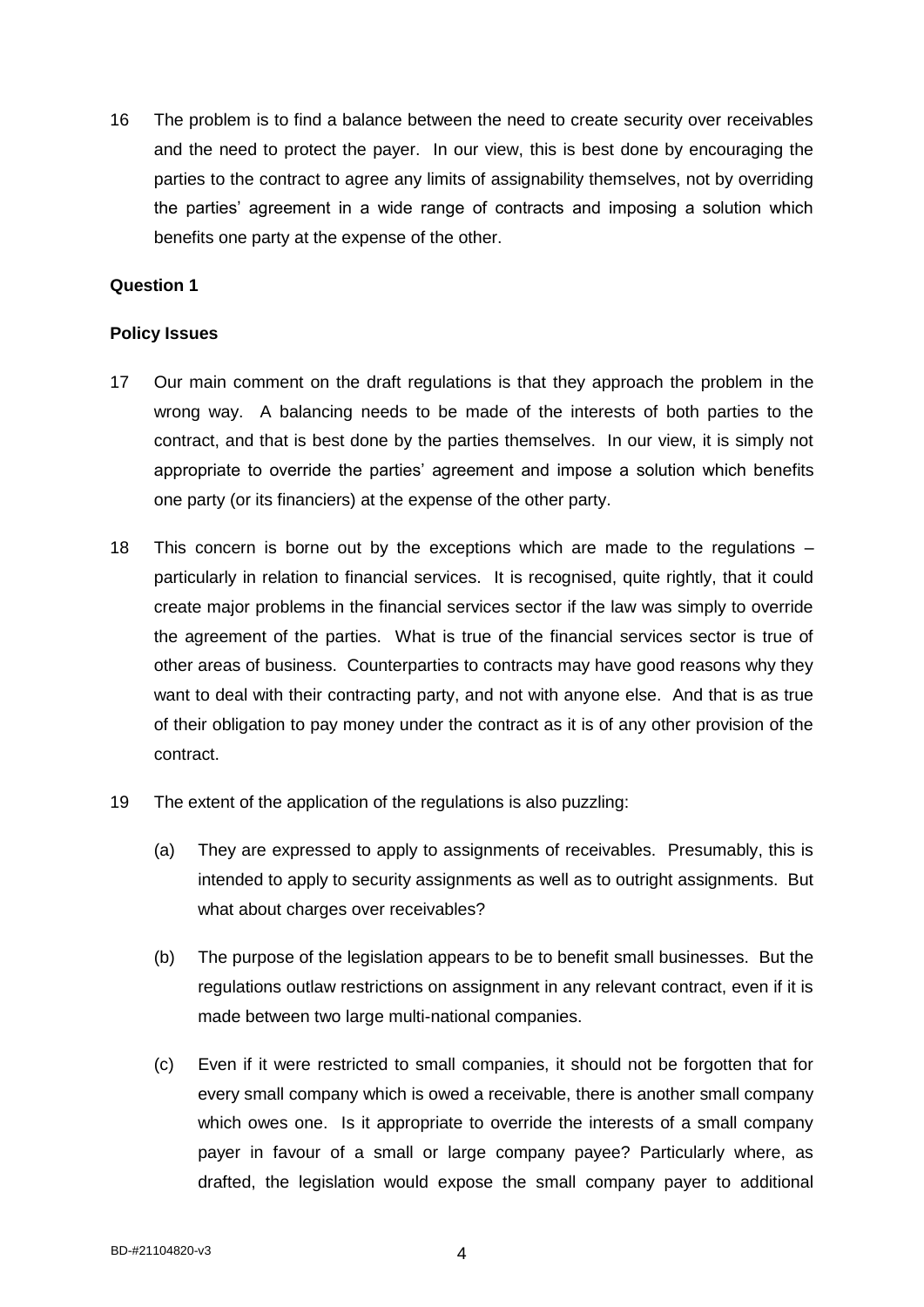16 The problem is to find a balance between the need to create security over receivables and the need to protect the payer. In our view, this is best done by encouraging the parties to the contract to agree any limits of assignability themselves, not by overriding the parties' agreement in a wide range of contracts and imposing a solution which benefits one party at the expense of the other.

# **Question 1**

# **Policy Issues**

- 17 Our main comment on the draft regulations is that they approach the problem in the wrong way. A balancing needs to be made of the interests of both parties to the contract, and that is best done by the parties themselves. In our view, it is simply not appropriate to override the parties' agreement and impose a solution which benefits one party (or its financiers) at the expense of the other party.
- 18 This concern is borne out by the exceptions which are made to the regulations particularly in relation to financial services. It is recognised, quite rightly, that it could create major problems in the financial services sector if the law was simply to override the agreement of the parties. What is true of the financial services sector is true of other areas of business. Counterparties to contracts may have good reasons why they want to deal with their contracting party, and not with anyone else. And that is as true of their obligation to pay money under the contract as it is of any other provision of the contract.
- 19 The extent of the application of the regulations is also puzzling:
	- (a) They are expressed to apply to assignments of receivables. Presumably, this is intended to apply to security assignments as well as to outright assignments. But what about charges over receivables?
	- (b) The purpose of the legislation appears to be to benefit small businesses. But the regulations outlaw restrictions on assignment in any relevant contract, even if it is made between two large multi-national companies.
	- (c) Even if it were restricted to small companies, it should not be forgotten that for every small company which is owed a receivable, there is another small company which owes one. Is it appropriate to override the interests of a small company payer in favour of a small or large company payee? Particularly where, as drafted, the legislation would expose the small company payer to additional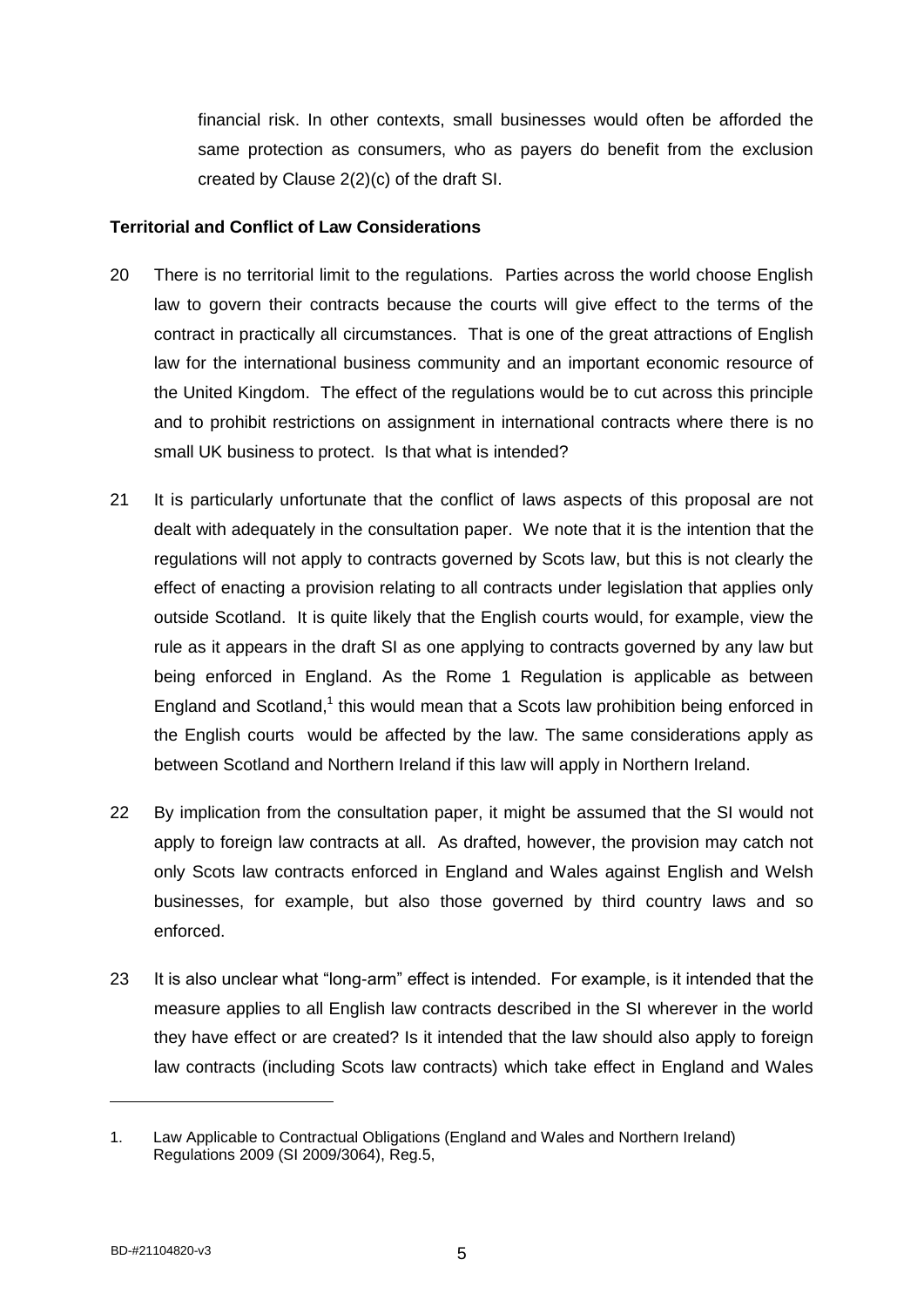financial risk. In other contexts, small businesses would often be afforded the same protection as consumers, who as payers do benefit from the exclusion created by Clause 2(2)(c) of the draft SI.

### **Territorial and Conflict of Law Considerations**

- 20 There is no territorial limit to the regulations. Parties across the world choose English law to govern their contracts because the courts will give effect to the terms of the contract in practically all circumstances. That is one of the great attractions of English law for the international business community and an important economic resource of the United Kingdom. The effect of the regulations would be to cut across this principle and to prohibit restrictions on assignment in international contracts where there is no small UK business to protect. Is that what is intended?
- 21 It is particularly unfortunate that the conflict of laws aspects of this proposal are not dealt with adequately in the consultation paper. We note that it is the intention that the regulations will not apply to contracts governed by Scots law, but this is not clearly the effect of enacting a provision relating to all contracts under legislation that applies only outside Scotland. It is quite likely that the English courts would, for example, view the rule as it appears in the draft SI as one applying to contracts governed by any law but being enforced in England. As the Rome 1 Regulation is applicable as between England and Scotland,<sup>1</sup> this would mean that a Scots law prohibition being enforced in the English courts would be affected by the law. The same considerations apply as between Scotland and Northern Ireland if this law will apply in Northern Ireland.
- 22 By implication from the consultation paper, it might be assumed that the SI would not apply to foreign law contracts at all. As drafted, however, the provision may catch not only Scots law contracts enforced in England and Wales against English and Welsh businesses, for example, but also those governed by third country laws and so enforced.
- 23 It is also unclear what "long-arm" effect is intended. For example, is it intended that the measure applies to all English law contracts described in the SI wherever in the world they have effect or are created? Is it intended that the law should also apply to foreign law contracts (including Scots law contracts) which take effect in England and Wales

<sup>1.</sup> Law Applicable to Contractual Obligations (England and Wales and Northern Ireland) Regulations 2009 (SI 2009/3064), Reg.5,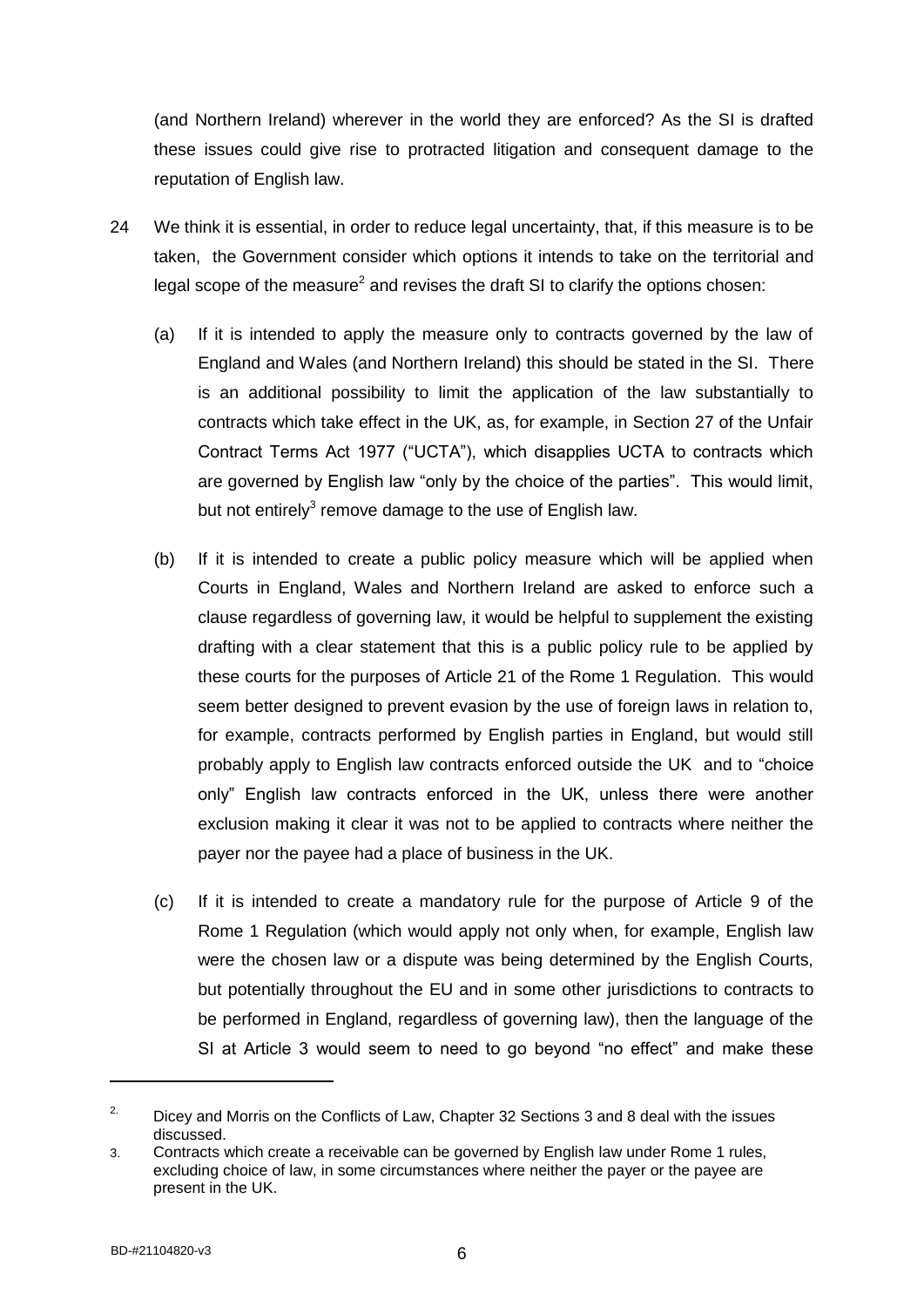(and Northern Ireland) wherever in the world they are enforced? As the SI is drafted these issues could give rise to protracted litigation and consequent damage to the reputation of English law.

- 24 We think it is essential, in order to reduce legal uncertainty, that, if this measure is to be taken, the Government consider which options it intends to take on the territorial and legal scope of the measure<sup>2</sup> and revises the draft SI to clarify the options chosen:
	- (a) If it is intended to apply the measure only to contracts governed by the law of England and Wales (and Northern Ireland) this should be stated in the SI. There is an additional possibility to limit the application of the law substantially to contracts which take effect in the UK, as, for example, in Section 27 of the Unfair Contract Terms Act 1977 ("UCTA"), which disapplies UCTA to contracts which are governed by English law "only by the choice of the parties". This would limit, but not entirely $3$  remove damage to the use of English law.
	- (b) If it is intended to create a public policy measure which will be applied when Courts in England, Wales and Northern Ireland are asked to enforce such a clause regardless of governing law, it would be helpful to supplement the existing drafting with a clear statement that this is a public policy rule to be applied by these courts for the purposes of Article 21 of the Rome 1 Regulation. This would seem better designed to prevent evasion by the use of foreign laws in relation to, for example, contracts performed by English parties in England, but would still probably apply to English law contracts enforced outside the UK and to "choice only" English law contracts enforced in the UK, unless there were another exclusion making it clear it was not to be applied to contracts where neither the payer nor the payee had a place of business in the UK.
	- (c) If it is intended to create a mandatory rule for the purpose of Article 9 of the Rome 1 Regulation (which would apply not only when, for example, English law were the chosen law or a dispute was being determined by the English Courts, but potentially throughout the EU and in some other jurisdictions to contracts to be performed in England, regardless of governing law), then the language of the SI at Article 3 would seem to need to go beyond "no effect" and make these

 $\overline{a}$ 

<sup>&</sup>lt;sup>2.</sup> Dicey and Morris on the Conflicts of Law, Chapter 32 Sections 3 and 8 deal with the issues discussed.

<sup>3.</sup> Contracts which create a receivable can be governed by English law under Rome 1 rules, excluding choice of law, in some circumstances where neither the payer or the payee are present in the UK.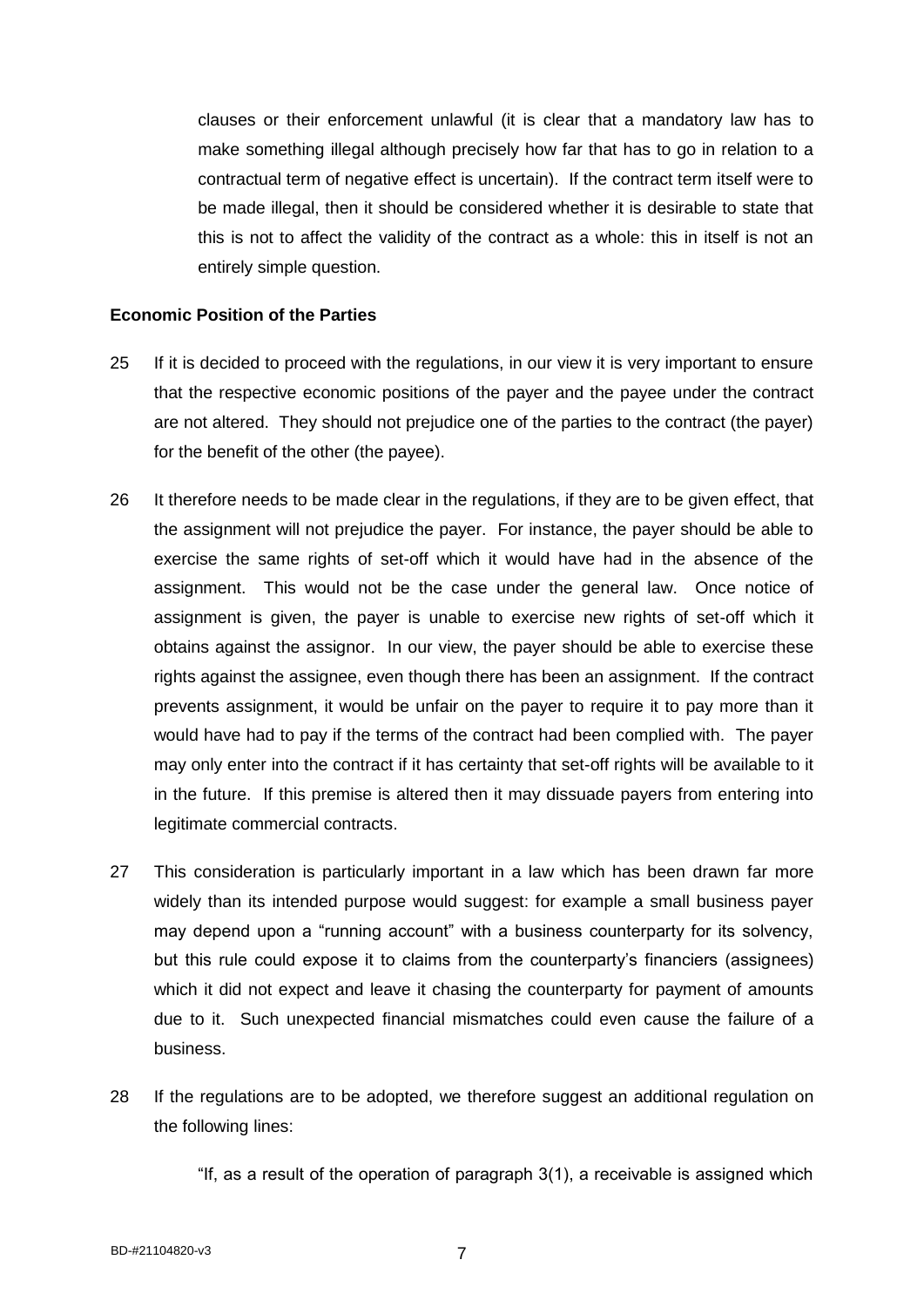clauses or their enforcement unlawful (it is clear that a mandatory law has to make something illegal although precisely how far that has to go in relation to a contractual term of negative effect is uncertain). If the contract term itself were to be made illegal, then it should be considered whether it is desirable to state that this is not to affect the validity of the contract as a whole: this in itself is not an entirely simple question.

### **Economic Position of the Parties**

- 25 If it is decided to proceed with the regulations, in our view it is very important to ensure that the respective economic positions of the payer and the payee under the contract are not altered. They should not prejudice one of the parties to the contract (the payer) for the benefit of the other (the payee).
- 26 It therefore needs to be made clear in the regulations, if they are to be given effect, that the assignment will not prejudice the payer. For instance, the payer should be able to exercise the same rights of set-off which it would have had in the absence of the assignment. This would not be the case under the general law. Once notice of assignment is given, the payer is unable to exercise new rights of set-off which it obtains against the assignor. In our view, the payer should be able to exercise these rights against the assignee, even though there has been an assignment. If the contract prevents assignment, it would be unfair on the payer to require it to pay more than it would have had to pay if the terms of the contract had been complied with. The payer may only enter into the contract if it has certainty that set-off rights will be available to it in the future. If this premise is altered then it may dissuade payers from entering into legitimate commercial contracts.
- 27 This consideration is particularly important in a law which has been drawn far more widely than its intended purpose would suggest: for example a small business payer may depend upon a "running account" with a business counterparty for its solvency, but this rule could expose it to claims from the counterparty's financiers (assignees) which it did not expect and leave it chasing the counterparty for payment of amounts due to it. Such unexpected financial mismatches could even cause the failure of a business.
- 28 If the regulations are to be adopted, we therefore suggest an additional regulation on the following lines:

"If, as a result of the operation of paragraph 3(1), a receivable is assigned which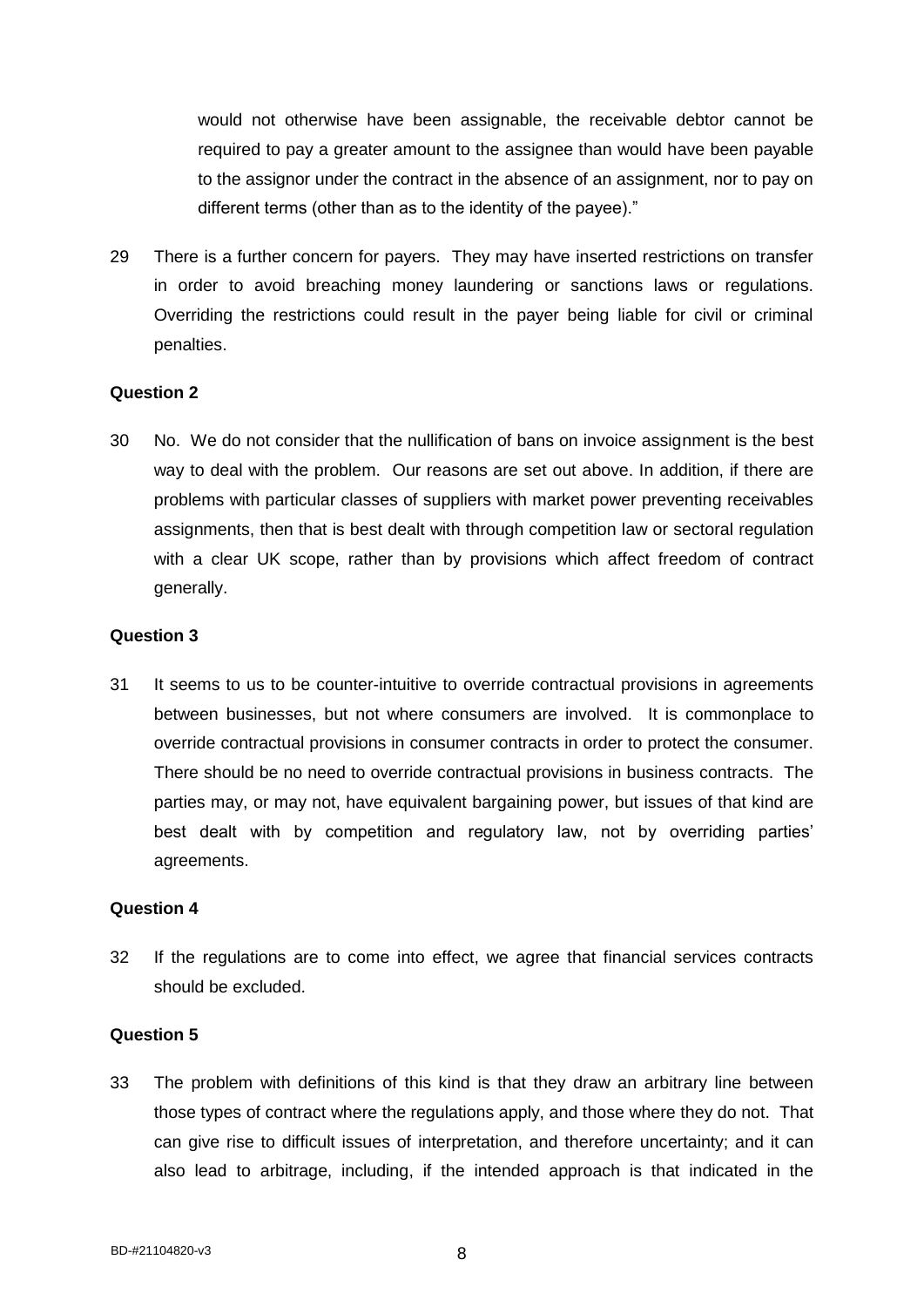would not otherwise have been assignable, the receivable debtor cannot be required to pay a greater amount to the assignee than would have been payable to the assignor under the contract in the absence of an assignment, nor to pay on different terms (other than as to the identity of the payee)."

29 There is a further concern for payers. They may have inserted restrictions on transfer in order to avoid breaching money laundering or sanctions laws or regulations. Overriding the restrictions could result in the payer being liable for civil or criminal penalties.

# **Question 2**

30 No. We do not consider that the nullification of bans on invoice assignment is the best way to deal with the problem. Our reasons are set out above. In addition, if there are problems with particular classes of suppliers with market power preventing receivables assignments, then that is best dealt with through competition law or sectoral regulation with a clear UK scope, rather than by provisions which affect freedom of contract generally.

# **Question 3**

31 It seems to us to be counter-intuitive to override contractual provisions in agreements between businesses, but not where consumers are involved. It is commonplace to override contractual provisions in consumer contracts in order to protect the consumer. There should be no need to override contractual provisions in business contracts. The parties may, or may not, have equivalent bargaining power, but issues of that kind are best dealt with by competition and regulatory law, not by overriding parties' agreements.

#### **Question 4**

32 If the regulations are to come into effect, we agree that financial services contracts should be excluded.

# **Question 5**

33 The problem with definitions of this kind is that they draw an arbitrary line between those types of contract where the regulations apply, and those where they do not. That can give rise to difficult issues of interpretation, and therefore uncertainty; and it can also lead to arbitrage, including, if the intended approach is that indicated in the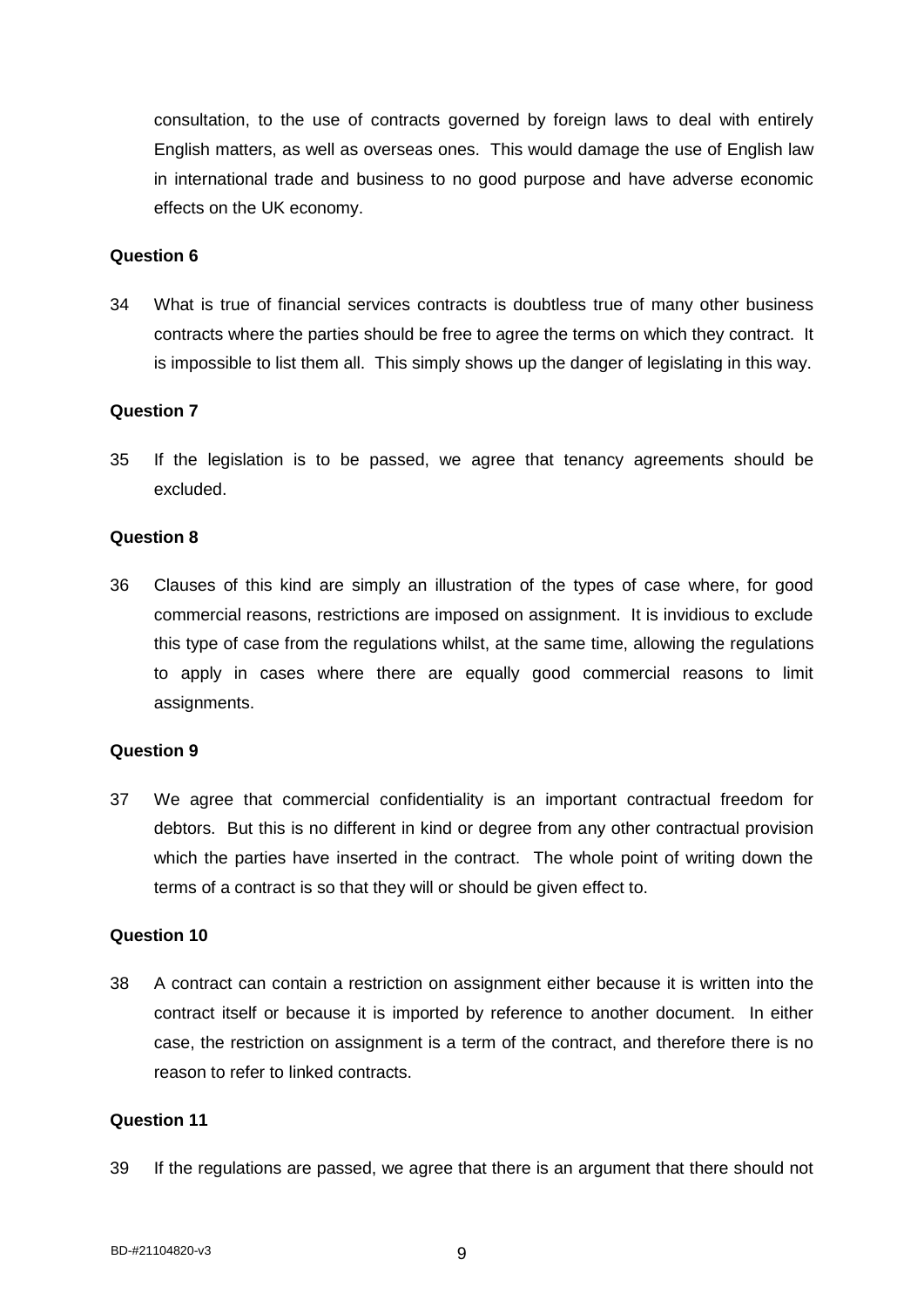consultation, to the use of contracts governed by foreign laws to deal with entirely English matters, as well as overseas ones. This would damage the use of English law in international trade and business to no good purpose and have adverse economic effects on the UK economy.

### **Question 6**

34 What is true of financial services contracts is doubtless true of many other business contracts where the parties should be free to agree the terms on which they contract. It is impossible to list them all. This simply shows up the danger of legislating in this way.

### **Question 7**

35 If the legislation is to be passed, we agree that tenancy agreements should be excluded.

### **Question 8**

36 Clauses of this kind are simply an illustration of the types of case where, for good commercial reasons, restrictions are imposed on assignment. It is invidious to exclude this type of case from the regulations whilst, at the same time, allowing the regulations to apply in cases where there are equally good commercial reasons to limit assignments.

#### **Question 9**

37 We agree that commercial confidentiality is an important contractual freedom for debtors. But this is no different in kind or degree from any other contractual provision which the parties have inserted in the contract. The whole point of writing down the terms of a contract is so that they will or should be given effect to.

#### **Question 10**

38 A contract can contain a restriction on assignment either because it is written into the contract itself or because it is imported by reference to another document. In either case, the restriction on assignment is a term of the contract, and therefore there is no reason to refer to linked contracts.

# **Question 11**

39 If the regulations are passed, we agree that there is an argument that there should not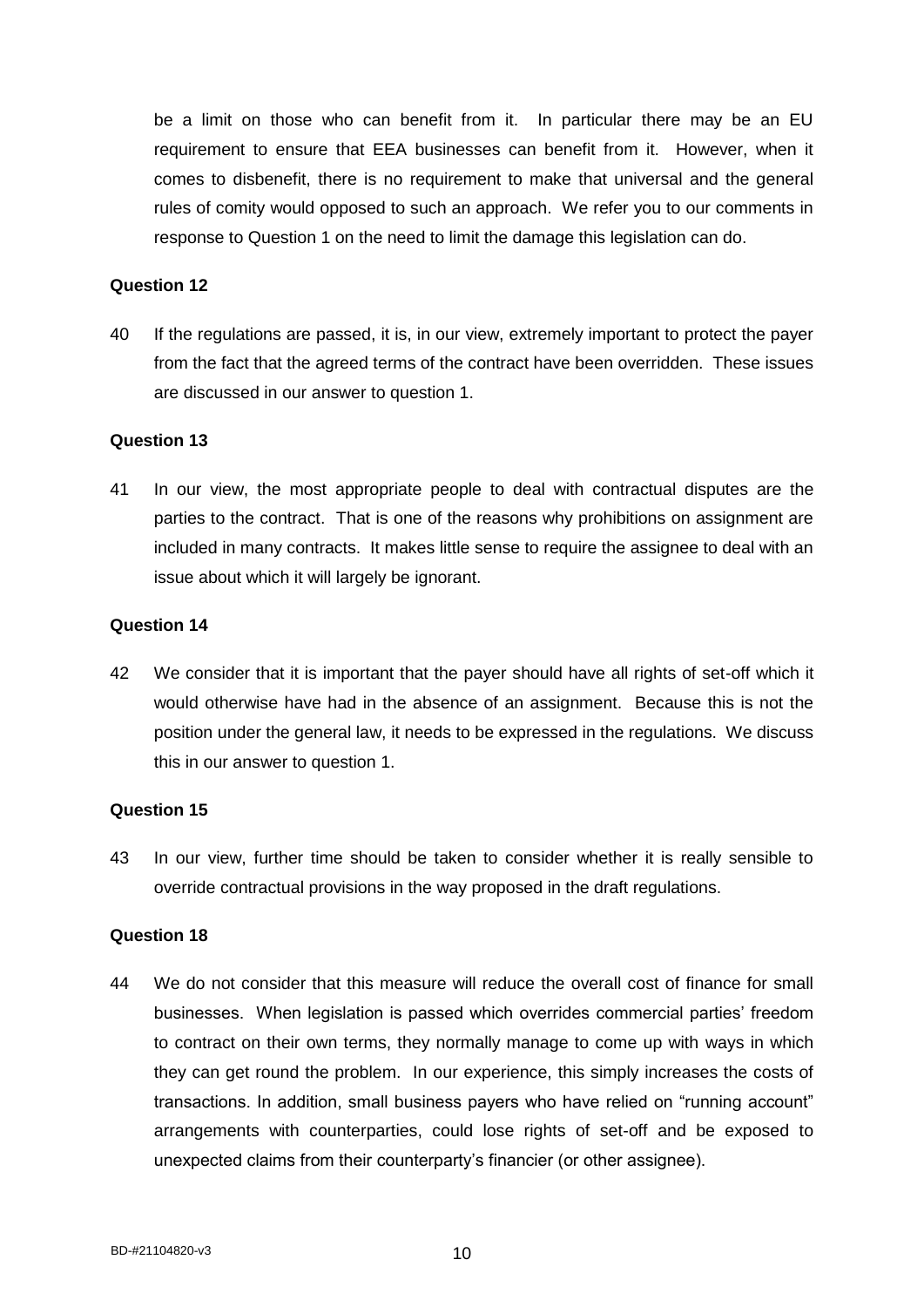be a limit on those who can benefit from it. In particular there may be an EU requirement to ensure that EEA businesses can benefit from it. However, when it comes to disbenefit, there is no requirement to make that universal and the general rules of comity would opposed to such an approach. We refer you to our comments in response to Question 1 on the need to limit the damage this legislation can do.

### **Question 12**

40 If the regulations are passed, it is, in our view, extremely important to protect the payer from the fact that the agreed terms of the contract have been overridden. These issues are discussed in our answer to question 1.

### **Question 13**

41 In our view, the most appropriate people to deal with contractual disputes are the parties to the contract. That is one of the reasons why prohibitions on assignment are included in many contracts. It makes little sense to require the assignee to deal with an issue about which it will largely be ignorant.

### **Question 14**

42 We consider that it is important that the payer should have all rights of set-off which it would otherwise have had in the absence of an assignment. Because this is not the position under the general law, it needs to be expressed in the regulations. We discuss this in our answer to question 1.

#### **Question 15**

43 In our view, further time should be taken to consider whether it is really sensible to override contractual provisions in the way proposed in the draft regulations.

#### **Question 18**

44 We do not consider that this measure will reduce the overall cost of finance for small businesses. When legislation is passed which overrides commercial parties' freedom to contract on their own terms, they normally manage to come up with ways in which they can get round the problem. In our experience, this simply increases the costs of transactions. In addition, small business payers who have relied on "running account" arrangements with counterparties, could lose rights of set-off and be exposed to unexpected claims from their counterparty's financier (or other assignee).